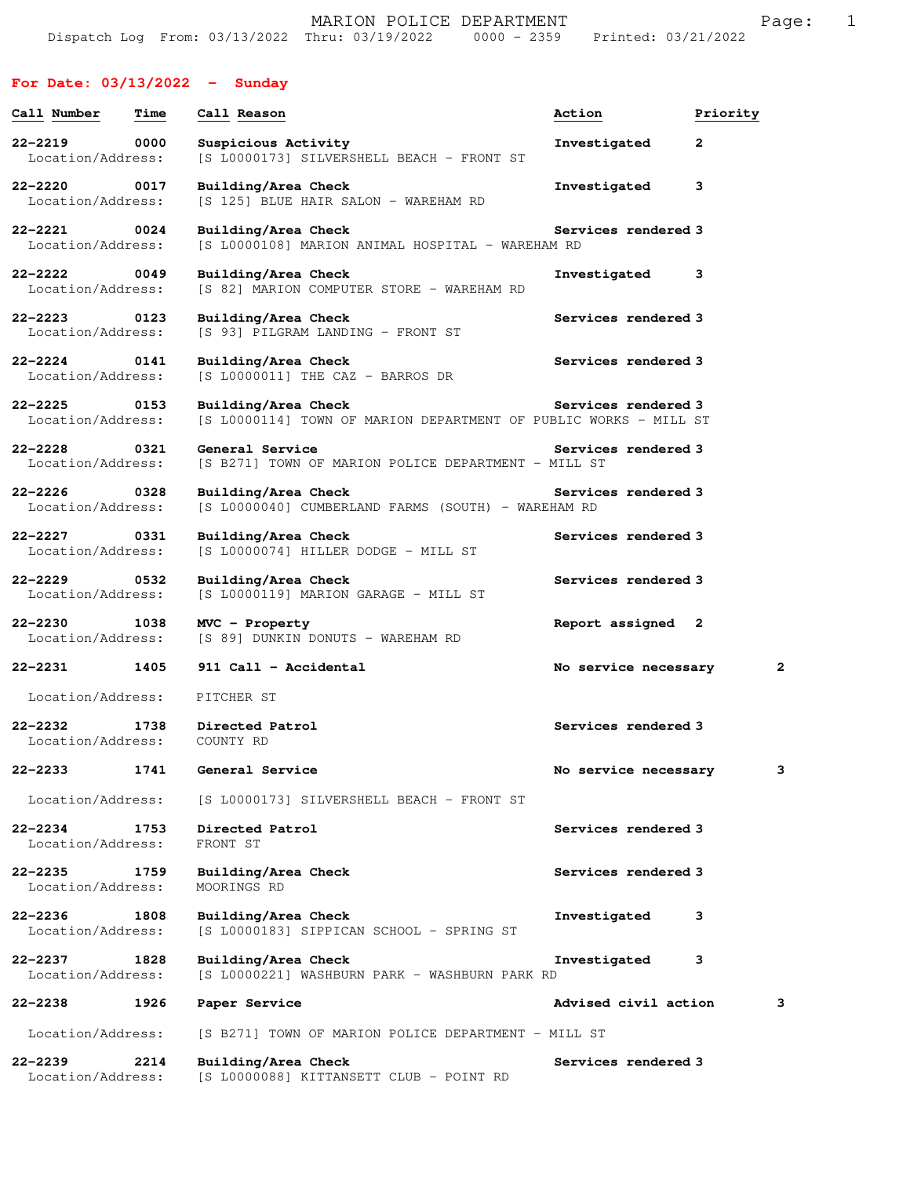## **For Date: 03/13/2022 - Sunday**

| Call Number                                              | Time | Call Reason                                                                             | Action                     | Priority |
|----------------------------------------------------------|------|-----------------------------------------------------------------------------------------|----------------------------|----------|
| 22-2219<br>Location/Address:                             | 0000 | Suspicious Activity<br>[S L0000173] SILVERSHELL BEACH - FRONT ST                        | Investigated               | 2        |
| $22 - 2220$<br>Location/Address:                         | 0017 | Building/Area Check<br>[S 125] BLUE HAIR SALON - WAREHAM RD                             | Investigated               | 3        |
| 22-2221 0024<br>Location/Address:                        |      | Building/Area Check<br>[S L0000108] MARION ANIMAL HOSPITAL - WAREHAM RD                 | Services rendered 3        |          |
| $22 - 2222$<br>Location/Address:                         | 0049 | Building/Area Check<br>[S 82] MARION COMPUTER STORE - WAREHAM RD                        | Investigated               | 3        |
| 22-2223 0123<br>Location/Address:                        |      | Building/Area Check<br>[S 93] PILGRAM LANDING - FRONT ST                                | Services rendered 3        |          |
| $22 - 2224$ 0141<br>Location/Address:                    |      | Building/Area Check<br>$[S L0000011]$ THE CAZ - BARROS DR                               | Services rendered 3        |          |
| 22-2225 0153<br>Location/Address:                        |      | Building/Area Check<br>[S L0000114] TOWN OF MARION DEPARTMENT OF PUBLIC WORKS - MILL ST | <b>Services rendered 3</b> |          |
| 22-2228<br>$\overline{\text{0321}}$<br>Location/Address: |      | General Service<br>[S B271] TOWN OF MARION POLICE DEPARTMENT - MILL ST                  | Services rendered 3        |          |
| $22 - 2226$<br>Location/Address:                         | 0328 | Building/Area Check<br>[S L0000040] CUMBERLAND FARMS (SOUTH) - WAREHAM RD               | <b>Services rendered 3</b> |          |
| 22-2227 0331<br>Location/Address:                        |      | Building/Area Check<br>[S L0000074] HILLER DODGE - MILL ST                              | Services rendered 3        |          |
| 22–2229<br>Location/Address:                             | 0532 | Building/Area Check<br>[S L0000119] MARION GARAGE - MILL ST                             | Services rendered 3        |          |
| $22 - 2230$<br>Location/Address:                         | 1038 | MVC - Property<br>[S 89] DUNKIN DONUTS - WAREHAM RD                                     | Report assigned 2          |          |
| $22 - 2231$                                              | 1405 | 911 Call - Accidental                                                                   | No service necessary       | 2        |
| Location/Address:                                        |      | PITCHER ST                                                                              |                            |          |
| Location/Address: COUNTY RD                              |      | 22-2232 1738 Directed Patrol                                                            | Services rendered 3        |          |
|                                                          |      | 22-2233 1741 General Service                                                            | No service necessary       | з        |
| Location/Address:                                        |      | [S L0000173] SILVERSHELL BEACH - FRONT ST                                               |                            |          |
| $22 - 2234$<br>Location/Address:                         | 1753 | Directed Patrol<br>FRONT ST                                                             | Services rendered 3        |          |
| 22-2235<br>Location/Address:                             | 1759 | Building/Area Check<br>MOORINGS RD                                                      | Services rendered 3        |          |
| $22 - 2236$<br>Location/Address:                         | 1808 | Building/Area Check<br>[S L0000183] SIPPICAN SCHOOL - SPRING ST                         | Investigated               | 3        |
| $22 - 2237$<br>Location/Address:                         | 1828 | Building/Area Check<br>[S L0000221] WASHBURN PARK - WASHBURN PARK RD                    | Investigated               | 3        |
| 22-2238                                                  | 1926 | Paper Service                                                                           | Advised civil action       | з        |
| Location/Address:                                        |      | [S B271] TOWN OF MARION POLICE DEPARTMENT - MILL ST                                     |                            |          |
| $22 - 2239$<br>Location/Address:                         | 2214 | Building/Area Check<br>[S L0000088] KITTANSETT CLUB - POINT RD                          | Services rendered 3        |          |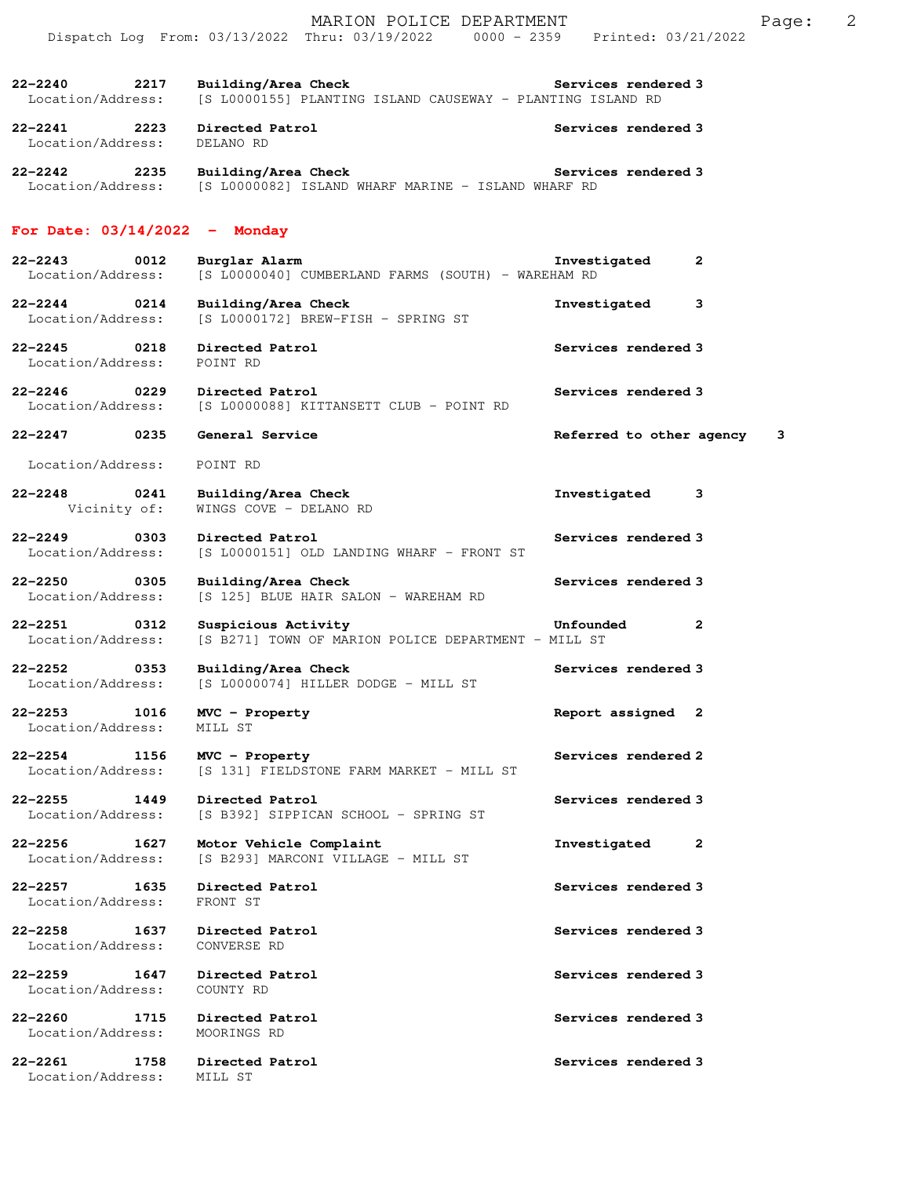|                                                       | MARION POLICE DEPARTMENT<br>Dispatch Log From: 03/13/2022 Thru: 03/19/2022 0000 - 2359 Printed: 03/21/2022 |                              | 2<br>Page: |
|-------------------------------------------------------|------------------------------------------------------------------------------------------------------------|------------------------------|------------|
| $22 - 2240$<br>2217<br>Location/Address:              | Building/Area Check<br>[S L0000155] PLANTING ISLAND CAUSEWAY - PLANTING ISLAND RD                          | Services rendered 3          |            |
| $22 - 2241$<br>2223<br>Location/Address:              | Directed Patrol<br>DELANO RD                                                                               | Services rendered 3          |            |
| $22 - 2242$<br>2235                                   | Building/Area Check<br>Location/Address: [S L0000082] ISLAND WHARF MARINE - ISLAND WHARF RD                | Services rendered 3          |            |
| For Date: $03/14/2022 -$ Monday                       |                                                                                                            |                              |            |
| $22 - 2243$<br>0012<br>Location/Address:              | Burglar Alarm<br>[S L0000040] CUMBERLAND FARMS (SOUTH) - WAREHAM RD                                        | Investigated<br>2            |            |
| 22-2244<br>0214<br>Location/Address:                  | Building/Area Check<br>[S L0000172] BREW-FISH - SPRING ST                                                  | Investigated<br>3            |            |
| $22 - 2245$<br>0218<br>Location/Address:              | Directed Patrol<br>POINT RD                                                                                | Services rendered 3          |            |
| $22 - 2246$<br>0229<br>Location/Address:              | Directed Patrol<br>[S L0000088] KITTANSETT CLUB - POINT RD                                                 | Services rendered 3          |            |
| $22 - 2247$ 0235                                      | General Service                                                                                            | Referred to other agency     | 3          |
| Location/Address:                                     | POINT RD                                                                                                   |                              |            |
| $22 - 2248$<br>0241<br>Vicinity of:                   | Building/Area Check<br>WINGS COVE - DELANO RD                                                              | Investigated<br>3            |            |
| $22 - 2249$<br>0303<br>Location/Address:              | Directed Patrol<br>[S L0000151] OLD LANDING WHARF - FRONT ST                                               | Services rendered 3          |            |
| $22 - 2250$<br>$\overline{0305}$<br>Location/Address: | Building/Area Check<br>[S 125] BLUE HAIR SALON - WAREHAM RD                                                | Services rendered 3          |            |
| 22-2251<br>0312                                       | Suspicious Activity<br>Location/Address: [S B271] TOWN OF MARION POLICE DEPARTMENT - MILL ST               | Unfounded<br>$\mathbf{2}$    |            |
|                                                       | 22-2252 0353 Building/Area Check<br>Location/Address: [S L0000074] HILLER DODGE - MILL ST                  | Services rendered 3          |            |
| 22-2253 1016<br>Location/Address:                     | MVC - Property<br>MILL ST                                                                                  | Report assigned 2            |            |
| 22-2254 1156<br>Location/Address:                     | MVC - Property<br>[S 131] FIELDSTONE FARM MARKET - MILL ST                                                 | Services rendered 2          |            |
| 22-2255 1449<br>Location/Address:                     | Directed Patrol<br>[S B392] SIPPICAN SCHOOL - SPRING ST                                                    | Services rendered 3          |            |
| 22–2256 1627<br>Location/Address:                     | Motor Vehicle Complaint<br>[S B293] MARCONI VILLAGE - MILL ST                                              | Investigated<br>$\mathbf{2}$ |            |
| 22-2257 1635<br>Location/Address:                     | Directed Patrol<br>FRONT ST                                                                                | Services rendered 3          |            |
| $22 - 2258$<br>1637<br>Location/Address:              | Directed Patrol<br>CONVERSE RD                                                                             | Services rendered 3          |            |
| 22-2259 1647<br>Location/Address:                     | Directed Patrol<br>COUNTY RD                                                                               | Services rendered 3          |            |
| $22 - 2260$<br>1715<br>Location/Address:              | Directed Patrol<br>MOORINGS RD                                                                             | Services rendered 3          |            |
| 22-2261<br>1758<br>Location/Address: MILL ST          | Directed Patrol                                                                                            | Services rendered 3          |            |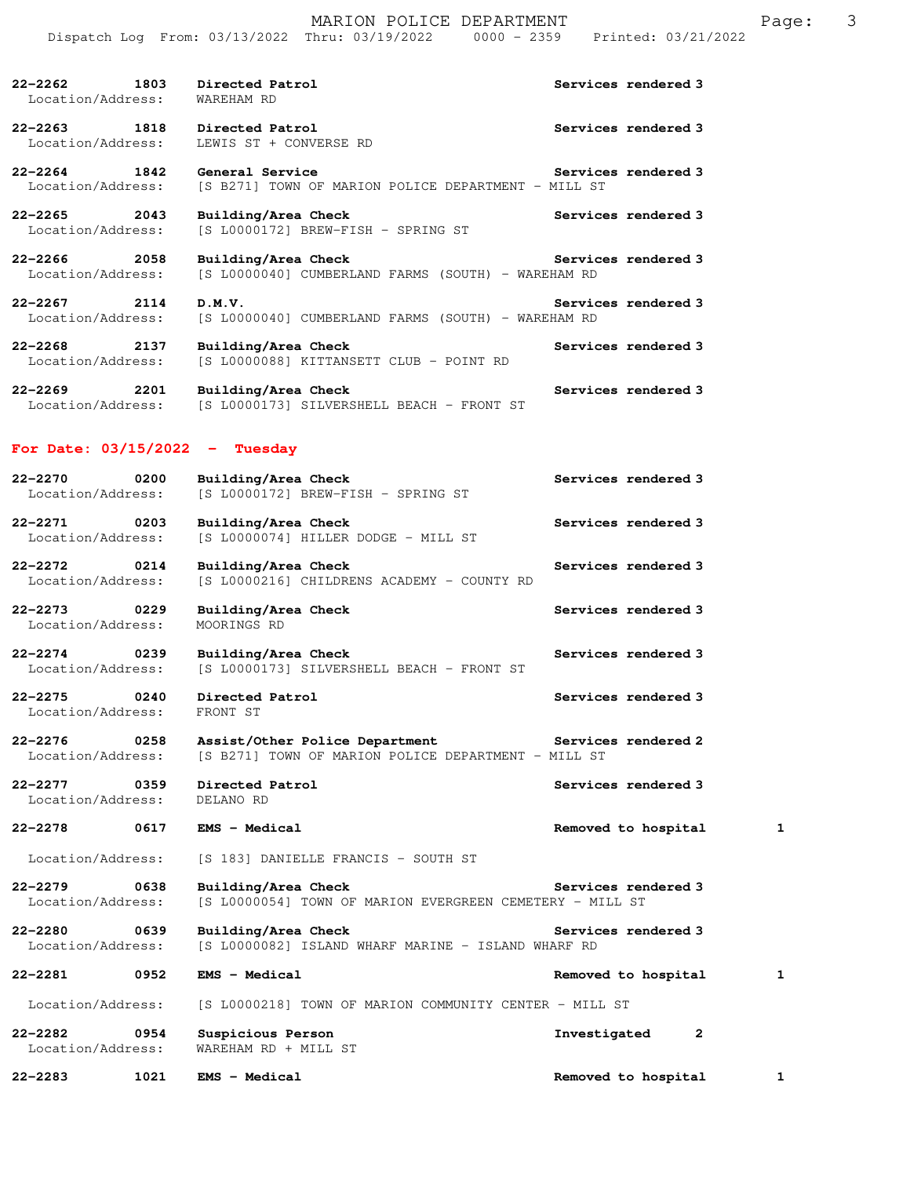|                                          | Dispatch Log From: 03/13/2022 Thru: 03/19/2022<br>$0000 - 2359$                                           | Printed: 03/21/2022 |
|------------------------------------------|-----------------------------------------------------------------------------------------------------------|---------------------|
| $22 - 2262$<br>1803<br>Location/Address: | Directed Patrol<br>WAREHAM RD                                                                             | Services rendered 3 |
| $22 - 2263$<br>1818<br>Location/Address: | Directed Patrol<br>LEWIS ST + CONVERSE RD                                                                 | Services rendered 3 |
| $22 - 2264$<br>1842<br>Location/Address: | General Service<br>[S B271] TOWN OF MARION POLICE DEPARTMENT - MILL ST                                    | Services rendered 3 |
| 22-2265<br>2043<br>Location/Address:     | Building/Area Check<br>[S L0000172] BREW-FISH - SPRING ST                                                 | Services rendered 3 |
| $22 - 2266$<br>2058<br>Location/Address: | Building/Area Check<br>[S L0000040] CUMBERLAND FARMS (SOUTH) - WAREHAM RD                                 | Services rendered 3 |
| 22-2267<br>2114<br>Location/Address:     | D.M.V.<br>[S L0000040] CUMBERLAND FARMS (SOUTH) - WAREHAM RD                                              | Services rendered 3 |
| $22 - 2268$<br>2137<br>Location/Address: | Building/Area Check<br>[S L0000088] KITTANSETT CLUB - POINT RD                                            | Services rendered 3 |
| $22 - 2269$<br>2201<br>Location/Address: | Building/Area Check<br>[S L0000173] SILVERSHELL BEACH - FRONT ST                                          | Services rendered 3 |
| For Date: $03/15/2022 -$ Tuesday         |                                                                                                           |                     |
| $22 - 2270$<br>0200<br>Location/Address: | Building/Area Check<br>[S L0000172] BREW-FISH - SPRING ST                                                 | Services rendered 3 |
| $22 - 2271$<br>0203<br>Location/Address: | Building/Area Check<br>$[S L0000074]$ HILLER DODGE - MILL ST                                              | Services rendered 3 |
| 22-2272<br>0214<br>Location/Address:     | Building/Area Check<br>[S L0000216] CHILDRENS ACADEMY - COUNTY RD                                         | Services rendered 3 |
| $22 - 2273$<br>0229<br>Location/Address: | Building/Area Check<br>MOORINGS RD                                                                        | Services rendered 3 |
| $22 - 2274$<br>0239<br>Location/Address: | Building/Area Check<br>[S L0000173] SILVERSHELL BEACH - FRONT ST                                          | Services rendered 3 |
| $22 - 2275$<br>0240<br>Location/Address: | Directed Patrol<br>FRONT ST                                                                               | Services rendered 3 |
| $22 - 2276$<br>0258<br>Location/Address: | Assist/Other Police Department Services rendered 2<br>[S B271] TOWN OF MARION POLICE DEPARTMENT - MILL ST |                     |
| 22-2277<br>0359<br>Location/Address:     | Directed Patrol<br>DELANO RD                                                                              | Services rendered 3 |
| 22-2278<br>0617                          | EMS - Medical                                                                                             | Removed to hospital |

Location/Address: [S 183] DANIELLE FRANCIS - SOUTH ST

**22-2279 0638 Building/Area Check Services rendered 3**  Location/Address: [S L0000054] TOWN OF MARION EVERGREEN CEMETERY - MILL ST

**22-2280 0639 Building/Area Check Services rendered 3**  Location/Address: [S L0000082] ISLAND WHARF MARINE - ISLAND WHARF RD

**22-2281 0952 EMS - Medical Removed to hospital 1** Location/Address: [S L0000218] TOWN OF MARION COMMUNITY CENTER - MILL ST **22-2282 0954 Suspicious Person Investigated 2** 

## Location/Address: WAREHAM RD + MILL ST

**22-2283 1021 EMS - Medical Removed to hospital 1**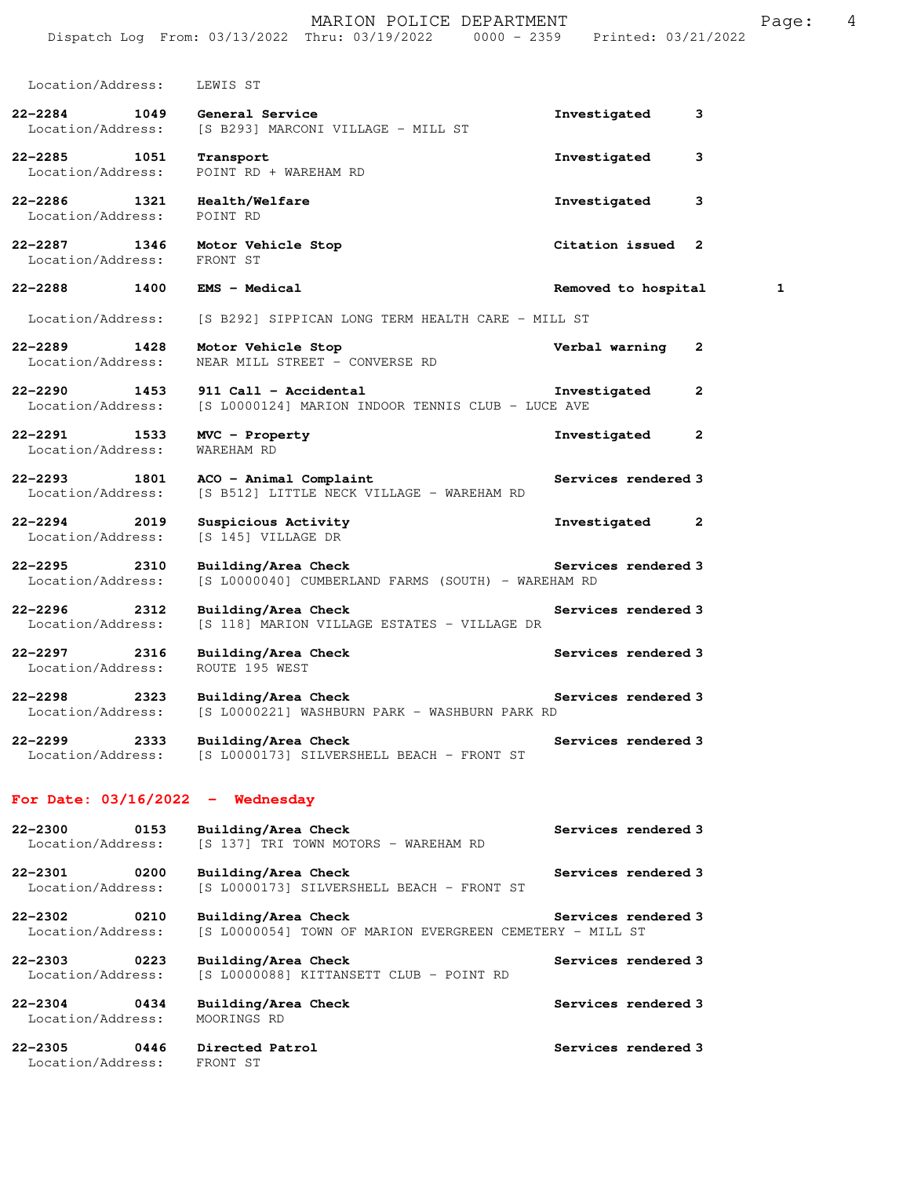|                                                   |      | MARION POLICE DEPARTMENT<br>Dispatch Log From: 03/13/2022 Thru: 03/19/2022 0000 - 2359 | Printed: 03/21/2022 |   | Page: | 4 |
|---------------------------------------------------|------|----------------------------------------------------------------------------------------|---------------------|---|-------|---|
| Location/Address:                                 |      | LEWIS ST                                                                               |                     |   |       |   |
| 22-2284<br>Location/Address:                      | 1049 | General Service<br>[S B293] MARCONI VILLAGE - MILL ST                                  | Investigated        | 3 |       |   |
| $22 - 2285$<br>Location/Address:                  | 1051 | Transport<br>POINT RD + WAREHAM RD                                                     | Investigated        | 3 |       |   |
| $22 - 2286$<br>Location/Address:                  | 1321 | Health/Welfare<br>POINT RD                                                             | Investigated        | 3 |       |   |
| 22-2287 1346<br>Location/Address:                 |      | Motor Vehicle Stop<br>FRONT ST                                                         | Citation issued 2   |   |       |   |
| $22 - 2288$<br>1400                               |      | EMS - Medical                                                                          | Removed to hospital |   | 1     |   |
| Location/Address:                                 |      | [S B292] SIPPICAN LONG TERM HEALTH CARE - MILL ST                                      |                     |   |       |   |
| $22 - 2289$<br>Location/Address:                  | 1428 | Motor Vehicle Stop<br>NEAR MILL STREET - CONVERSE RD                                   | Verbal warning      | 2 |       |   |
| $22 - 2290$<br>1453<br>Location/Address:          |      | 911 Call - Accidental<br>[S L0000124] MARION INDOOR TENNIS CLUB - LUCE AVE             | Investigated        | 2 |       |   |
| 22-2291<br>1533<br>Location/Address:              |      | MVC - Property<br>WAREHAM RD                                                           | Investigated        | 2 |       |   |
| 22-2293<br>Location/Address:                      | 1801 | ACO - Animal Complaint<br>[S B512] LITTLE NECK VILLAGE - WAREHAM RD                    | Services rendered 3 |   |       |   |
| $22 - 2294$<br>Location/Address:                  | 2019 | Suspicious Activity<br>[S 145] VILLAGE DR                                              | Investigated        | 2 |       |   |
| $22 - 2295$<br>Location/Address:                  | 2310 | Building/Area Check<br>[S L0000040] CUMBERLAND FARMS (SOUTH) - WAREHAM RD              | Services rendered 3 |   |       |   |
| $22 - 2296$<br>Location/Address:                  | 2312 | Building/Area Check<br>[S 118] MARION VILLAGE ESTATES - VILLAGE DR                     | Services rendered 3 |   |       |   |
| $22 - 2297$<br>Location/Address:                  | 2316 | Building/Area Check<br>ROUTE 195 WEST                                                  | Services rendered 3 |   |       |   |
| $22 - 2298$<br>Location/Address:                  | 2323 | Building/Area Check<br>[S L0000221] WASHBURN PARK - WASHBURN PARK RD                   | Services rendered 3 |   |       |   |
| 22-2299<br>Location/Address:                      | 2333 | Building/Area Check<br>[S L0000173] SILVERSHELL BEACH - FRONT ST                       | Services rendered 3 |   |       |   |
|                                                   |      | For Date: $03/16/2022 -$ Wednesday                                                     |                     |   |       |   |
| $22 - 2300$<br>Location/Address:                  | 0153 | Building/Area Check<br>[S 137] TRI TOWN MOTORS - WAREHAM RD                            | Services rendered 3 |   |       |   |
| 22-2301<br>Location/Address:                      | 0200 | Building/Area Check<br>[S L0000173] SILVERSHELL BEACH - FRONT ST                       | Services rendered 3 |   |       |   |
| 22-2302<br>$\overline{0210}$<br>Location/Address: |      | Building/Area Check<br>[S L0000054] TOWN OF MARION EVERGREEN CEMETERY - MILL ST        | Services rendered 3 |   |       |   |
| $22 - 2303$<br>Location/Address:                  | 0223 | Building/Area Check<br>[S L0000088] KITTANSETT CLUB - POINT RD                         | Services rendered 3 |   |       |   |
| 22-2304<br>Location/Address:                      | 0434 | Building/Area Check<br>MOORINGS RD                                                     | Services rendered 3 |   |       |   |
| $22 - 2305$<br>Location/Address:                  | 0446 | Directed Patrol<br>FRONT ST                                                            | Services rendered 3 |   |       |   |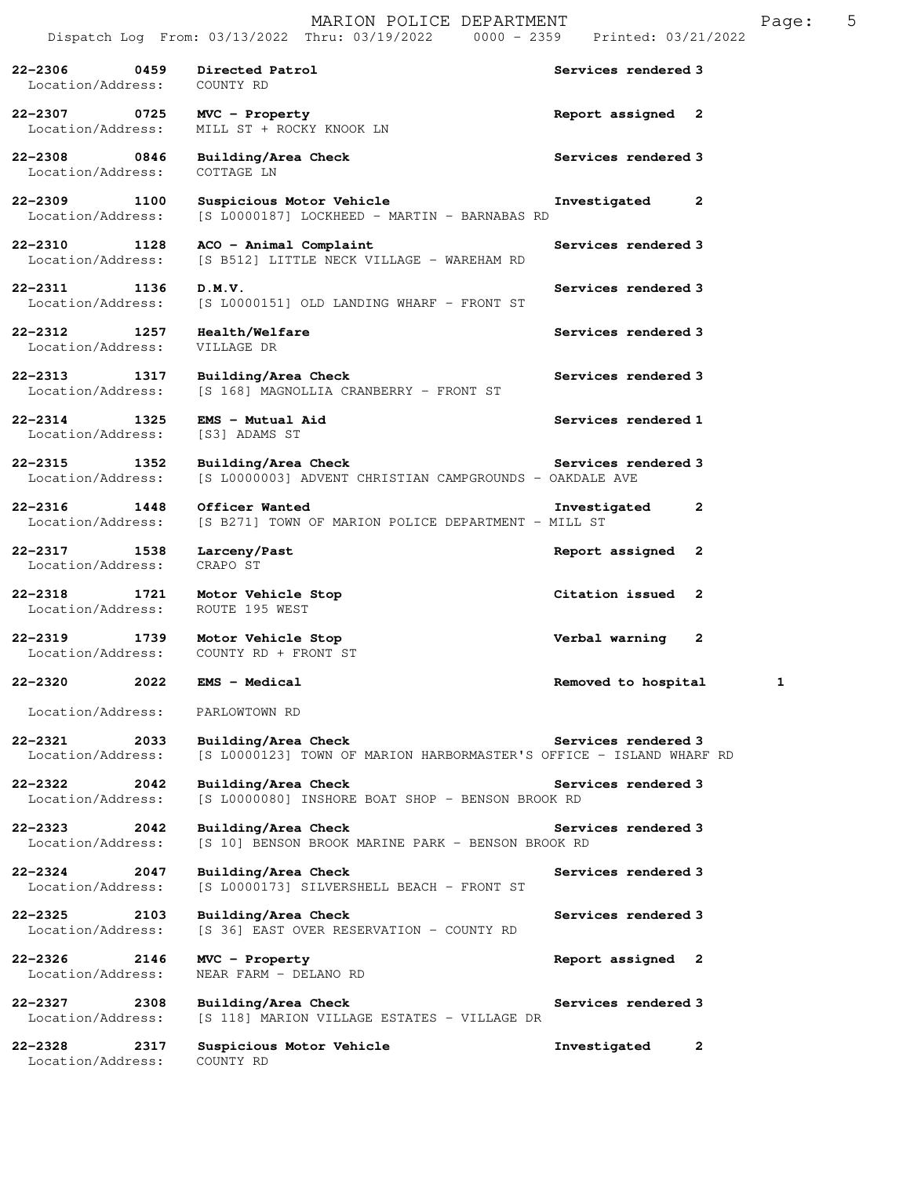| $22 - 2306$<br>0459<br>Location/Address: | Directed Patrol<br>COUNTY RD                                                               | Services rendered 3      |
|------------------------------------------|--------------------------------------------------------------------------------------------|--------------------------|
| $22 - 2307$<br>0725<br>Location/Address: | MVC - Property<br>MILL ST + ROCKY KNOOK LN                                                 | Report assigned 2        |
| 22-2308 0846<br>Location/Address:        | Building/Area Check<br>COTTAGE LN                                                          | Services rendered 3      |
| 22-2309<br>1100<br>Location/Address:     | Suspicious Motor Vehicle<br>[S L0000187] LOCKHEED - MARTIN - BARNABAS RD                   | Investigated<br>2        |
| 22-2310 1128<br>Location/Address:        | ACO - Animal Complaint<br>[S B512] LITTLE NECK VILLAGE - WAREHAM RD                        | Services rendered 3      |
| 22-2311<br>1136<br>Location/Address:     | D.M.V.<br>[S L0000151] OLD LANDING WHARF - FRONT ST                                        | Services rendered 3      |
| 22–2312 1257<br>Location/Address:        | Health/Welfare<br>VILLAGE DR                                                               | Services rendered 3      |
| $22 - 2313$<br>1317<br>Location/Address: | Building/Area Check<br>[S 168] MAGNOLLIA CRANBERRY - FRONT ST                              | Services rendered 3      |
| $22 - 2314$<br>1325<br>Location/Address: | $EMS - Mutual Aid$<br>[S3] ADAMS ST                                                        | Services rendered 1      |
| $22 - 2315$<br>1352<br>Location/Address: | Building/Area Check<br>[S L0000003] ADVENT CHRISTIAN CAMPGROUNDS - OAKDALE AVE             | Services rendered 3      |
| $22 - 2316$<br>1448<br>Location/Address: | Officer Wanted<br>[S B271] TOWN OF MARION POLICE DEPARTMENT - MILL ST                      | Investigated<br>2        |
| 22-2317 1538<br>Location/Address:        | Larceny/Past<br>CRAPO ST                                                                   | Report assigned<br>2     |
| $22 - 2318$<br>1721<br>Location/Address: | Motor Vehicle Stop<br>ROUTE 195 WEST                                                       | Citation issued<br>2     |
| 1739<br>22-2319<br>Location/Address:     | Motor Vehicle Stop<br>COUNTY RD + FRONT ST                                                 | Verbal warning<br>2      |
| $22 - 2320$<br>2022                      | <b>EMS - Medical</b>                                                                       | 1<br>Removed to hospital |
| Location/Address:                        | PARLOWTOWN RD                                                                              |                          |
| $22 - 2321$<br>2033<br>Location/Address: | Building/Area Check<br>[S L0000123] TOWN OF MARION HARBORMASTER'S OFFICE - ISLAND WHARF RD | Services rendered 3      |
| $22 - 2322$<br>2042<br>Location/Address: | Building/Area Check<br>[S L0000080] INSHORE BOAT SHOP - BENSON BROOK RD                    | Services rendered 3      |
| $22 - 2323$<br>2042<br>Location/Address: | Building/Area Check<br>[S 10] BENSON BROOK MARINE PARK - BENSON BROOK RD                   | Services rendered 3      |
| $22 - 2324$<br>2047<br>Location/Address: | Building/Area Check<br>[S L0000173] SILVERSHELL BEACH - FRONT ST                           | Services rendered 3      |
| $22 - 2325$<br>2103<br>Location/Address: | Building/Area Check<br>[S 36] EAST OVER RESERVATION - COUNTY RD                            | Services rendered 3      |
| 22-2326<br>2146<br>Location/Address:     | MVC - Property<br>NEAR FARM - DELANO RD                                                    | Report assigned 2        |
| $22 - 2327$<br>2308<br>Location/Address: | Building/Area Check<br>[S 118] MARION VILLAGE ESTATES - VILLAGE DR                         | Services rendered 3      |
| 22-2328<br>2317<br>Location/Address:     | Suspicious Motor Vehicle<br>COUNTY RD                                                      | Investigated<br>2        |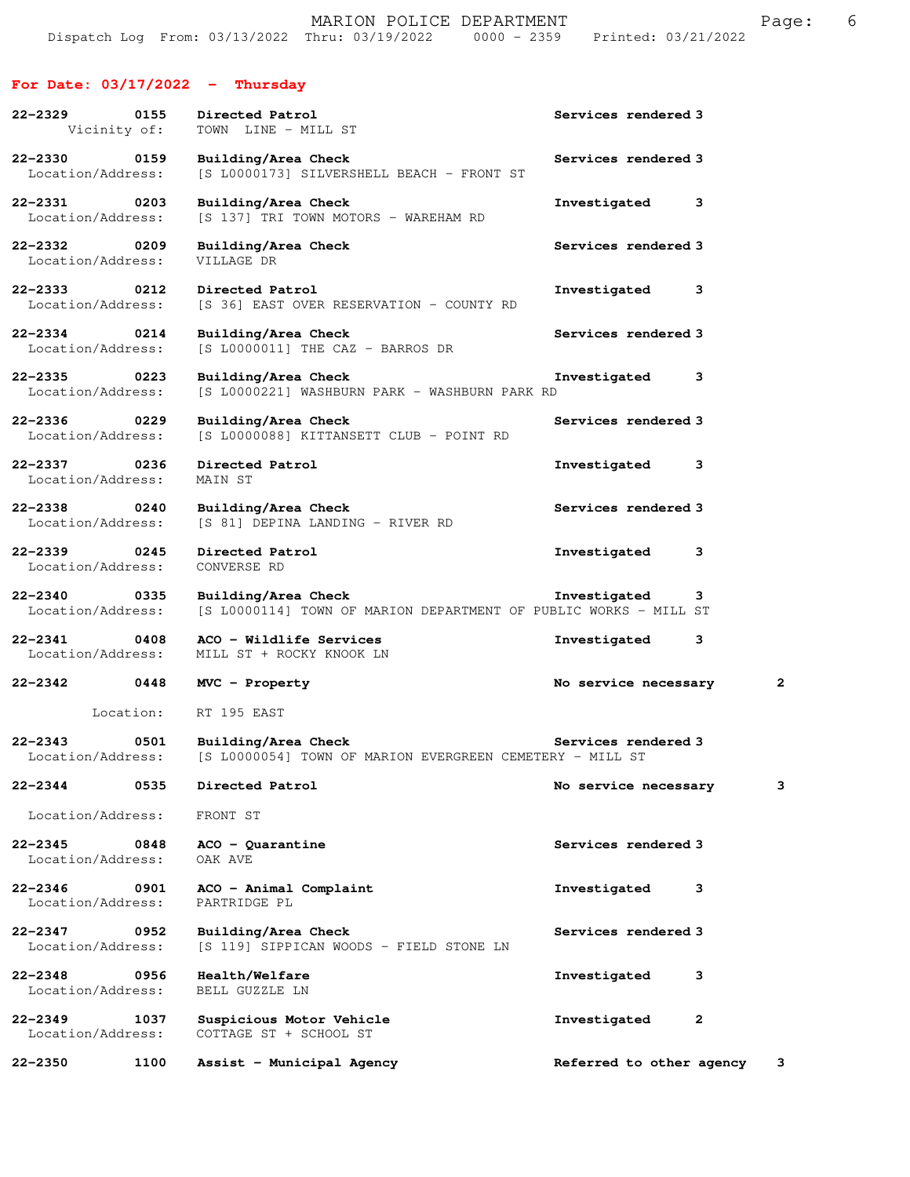## **For Date: 03/17/2022 - Thursday**

| $22 - 2329$<br>0155<br>Vicinity of:      | Directed Patrol<br>TOWN LINE - MILL ST                                                  | Services rendered 3          |                         |
|------------------------------------------|-----------------------------------------------------------------------------------------|------------------------------|-------------------------|
| 22-2330 0159<br>Location/Address:        | Building/Area Check<br>[S L0000173] SILVERSHELL BEACH - FRONT ST                        | Services rendered 3          |                         |
| 22-2331 0203<br>Location/Address:        | Building/Area Check<br>[S 137] TRI TOWN MOTORS - WAREHAM RD                             | Investigated<br>3            |                         |
| 22-2332 0209<br>Location/Address:        | Building/Area Check<br>VILLAGE DR                                                       | Services rendered 3          |                         |
| 22-2333 0212<br>Location/Address:        | Directed Patrol<br>[S 36] EAST OVER RESERVATION - COUNTY RD                             | Investigated<br>3            |                         |
| $22 - 2334$<br>0214<br>Location/Address: | Building/Area Check<br>[S L0000011] THE CAZ - BARROS DR                                 | Services rendered 3          |                         |
| 22-2335 0223<br>Location/Address:        | Building/Area Check<br>[S L0000221] WASHBURN PARK - WASHBURN PARK RD                    | Investigated<br>3            |                         |
| $22 - 2336$<br>0229<br>Location/Address: | Building/Area Check<br>[S L0000088] KITTANSETT CLUB - POINT RD                          | Services rendered 3          |                         |
| 22-2337 0236<br>Location/Address:        | Directed Patrol<br>MAIN ST                                                              | Investigated<br>3            |                         |
| $22 - 2338$<br>0240<br>Location/Address: | Building/Area Check<br>[S 81] DEPINA LANDING - RIVER RD                                 | Services rendered 3          |                         |
| 22-2339 0245<br>Location/Address:        | Directed Patrol<br>CONVERSE RD                                                          | Investigated<br>3            |                         |
| 22-2340 0335<br>Location/Address:        | Building/Area Check<br>[S L0000114] TOWN OF MARION DEPARTMENT OF PUBLIC WORKS - MILL ST | Investigated<br>3            |                         |
| 22-2341 0408<br>Location/Address:        | ACO - Wildlife Services<br>MILL ST + ROCKY KNOOK LN                                     | Investigated<br>3            |                         |
| 22–2342 0448                             | $MVC$ - $Property$                                                                      | No service necessary         | $\overline{\mathbf{2}}$ |
| Location:                                | RT 195 EAST                                                                             |                              |                         |
| $22 - 2343$<br>0501<br>Location/Address: | Building/Area Check<br>[S L0000054] TOWN OF MARION EVERGREEN CEMETERY - MILL ST         | Services rendered 3          |                         |
| $22 - 2344$<br>0535                      | Directed Patrol                                                                         | No service necessary         | з                       |
| Location/Address:                        | FRONT ST                                                                                |                              |                         |
| $22 - 2345$<br>0848<br>Location/Address: | $ACO - Quarantine$<br>OAK AVE                                                           | Services rendered 3          |                         |
| $22 - 2346$<br>0901<br>Location/Address: | ACO - Animal Complaint<br>PARTRIDGE PL                                                  | Investigated<br>3            |                         |
| $22 - 2347$<br>0952<br>Location/Address: | Building/Area Check<br>[S 119] SIPPICAN WOODS - FIELD STONE LN                          | Services rendered 3          |                         |
| $22 - 2348$<br>0956<br>Location/Address: | Health/Welfare<br>BELL GUZZLE LN                                                        | Investigated<br>з            |                         |
| $22 - 2349$<br>1037<br>Location/Address: | Suspicious Motor Vehicle<br>COTTAGE ST + SCHOOL ST                                      | $\mathbf{2}$<br>Investigated |                         |
| $22 - 2350$<br>1100                      | Assist - Municipal Agency                                                               | Referred to other agency     | з                       |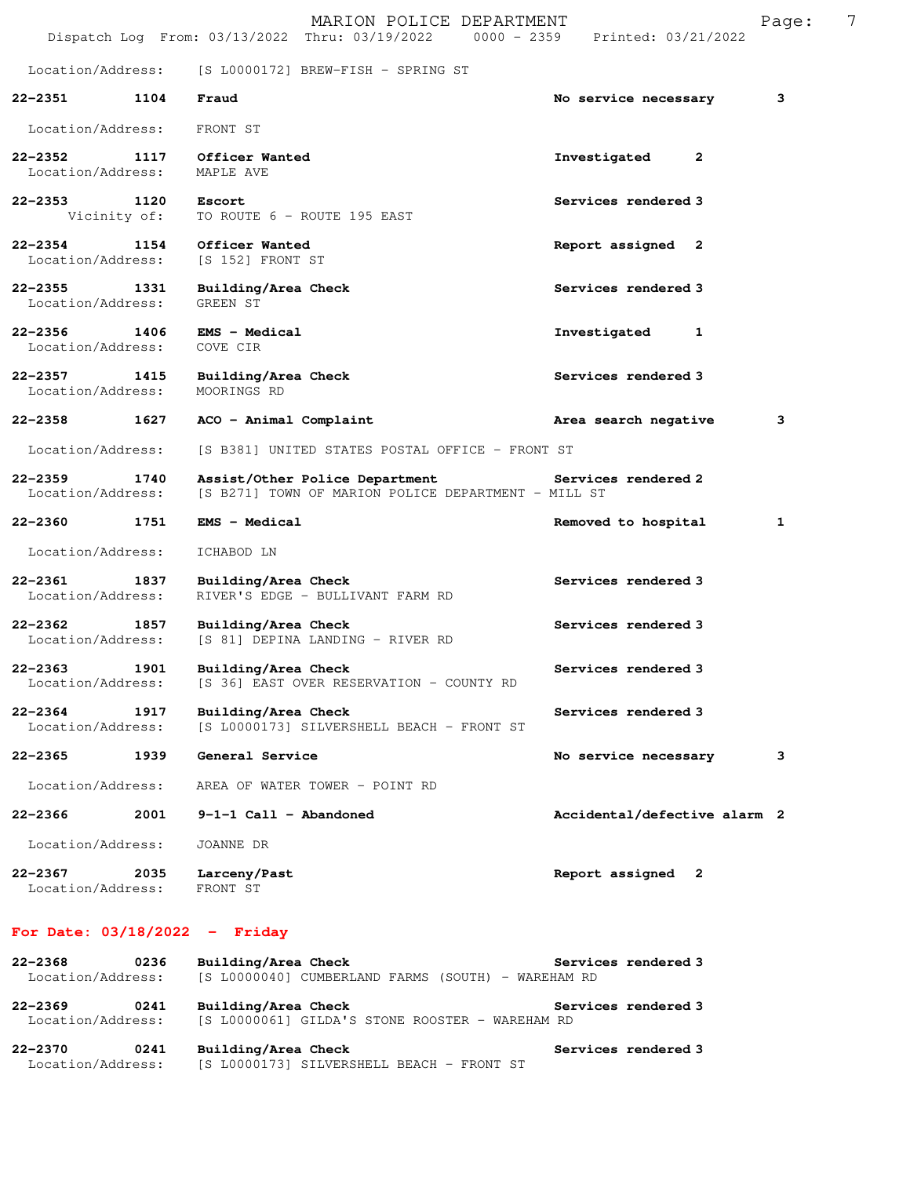|                                          | MARION POLICE DEPARTMENT<br>Dispatch Log From: 03/13/2022 Thru: 03/19/2022 0000 - 2359 Printed: 03/21/2022 |                              | 7<br>Page: |
|------------------------------------------|------------------------------------------------------------------------------------------------------------|------------------------------|------------|
| Location/Address:                        | [S L0000172] BREW-FISH - SPRING ST                                                                         |                              |            |
| $22 - 2351$<br>1104                      | Fraud                                                                                                      | No service necessary         | 3          |
| Location/Address:                        | FRONT ST                                                                                                   |                              |            |
| $22 - 2352$<br>1117<br>Location/Address: | Officer Wanted<br>MAPLE AVE                                                                                | Investigated<br>2            |            |
| 22-2353 1120<br>Vicinity of:             | Escort<br>TO ROUTE 6 - ROUTE 195 EAST                                                                      | Services rendered 3          |            |
| $22 - 2354$<br>1154<br>Location/Address: | Officer Wanted<br>[S 152] FRONT ST                                                                         | Report assigned 2            |            |
| $22 - 2355$<br>1331<br>Location/Address: | Building/Area Check<br>GREEN ST                                                                            | Services rendered 3          |            |
| 22-2356 1406<br>Location/Address:        | <b>EMS - Medical</b><br>COVE CIR                                                                           | Investigated<br>1            |            |
| $22 - 2357$<br>1415<br>Location/Address: | Building/Area Check<br>MOORINGS RD                                                                         | Services rendered 3          |            |
| $22 - 2358$<br>1627                      | ACO - Animal Complaint                                                                                     | Area search negative         | 3          |
| Location/Address:                        | [S B381] UNITED STATES POSTAL OFFICE - FRONT ST                                                            |                              |            |
| 22-2359<br>1740<br>Location/Address:     | Assist/Other Police Department<br>[S B271] TOWN OF MARION POLICE DEPARTMENT - MILL ST                      | Services rendered 2          |            |
| 22-2360<br>1751                          | <b>EMS - Medical</b>                                                                                       | Removed to hospital          | 1          |
| Location/Address:                        | ICHABOD LN                                                                                                 |                              |            |
| 22-2361 1837<br>Location/Address:        | Building/Area Check<br>RIVER'S EDGE - BULLIVANT FARM RD                                                    | Services rendered 3          |            |
| $22 - 2362$<br>1857<br>Location/Address: | Building/Area Check<br>[S 81] DEPINA LANDING - RIVER RD                                                    | Services rendered 3          |            |
| 22-2363<br>1901<br>Location/Address:     | Building/Area Check<br>[S 36] EAST OVER RESERVATION - COUNTY RD                                            | Services rendered 3          |            |
| $22 - 2364$<br>1917<br>Location/Address: | Building/Area Check<br>[S L0000173] SILVERSHELL BEACH - FRONT ST                                           | Services rendered 3          |            |
| $22 - 2365$<br>1939                      | General Service                                                                                            | No service necessary         | 3          |
| Location/Address:                        | AREA OF WATER TOWER - POINT RD                                                                             |                              |            |
| 22-2366<br>2001                          | $9-1-1$ Call - Abandoned                                                                                   | Accidental/defective alarm 2 |            |
| Location/Address:                        | JOANNE DR                                                                                                  |                              |            |
| 22-2367<br>2035<br>Location/Address:     | Larceny/Past<br>FRONT ST                                                                                   | Report assigned 2            |            |

## **For Date: 03/18/2022 - Friday**

| $22 - 2368$                  | 0236 | Building/Area Check<br>Services rendered 3                                                    |  |
|------------------------------|------|-----------------------------------------------------------------------------------------------|--|
| Location/Address:            |      | [S L0000040] CUMBERLAND FARMS (SOUTH) - WAREHAM RD                                            |  |
| 22-2369<br>Location/Address: | 0241 | Building/Area Check<br>Services rendered 3<br>[S L0000061] GILDA'S STONE ROOSTER - WAREHAM RD |  |
| 22-2370                      | 0241 | Building/Area Check<br>Services rendered 3                                                    |  |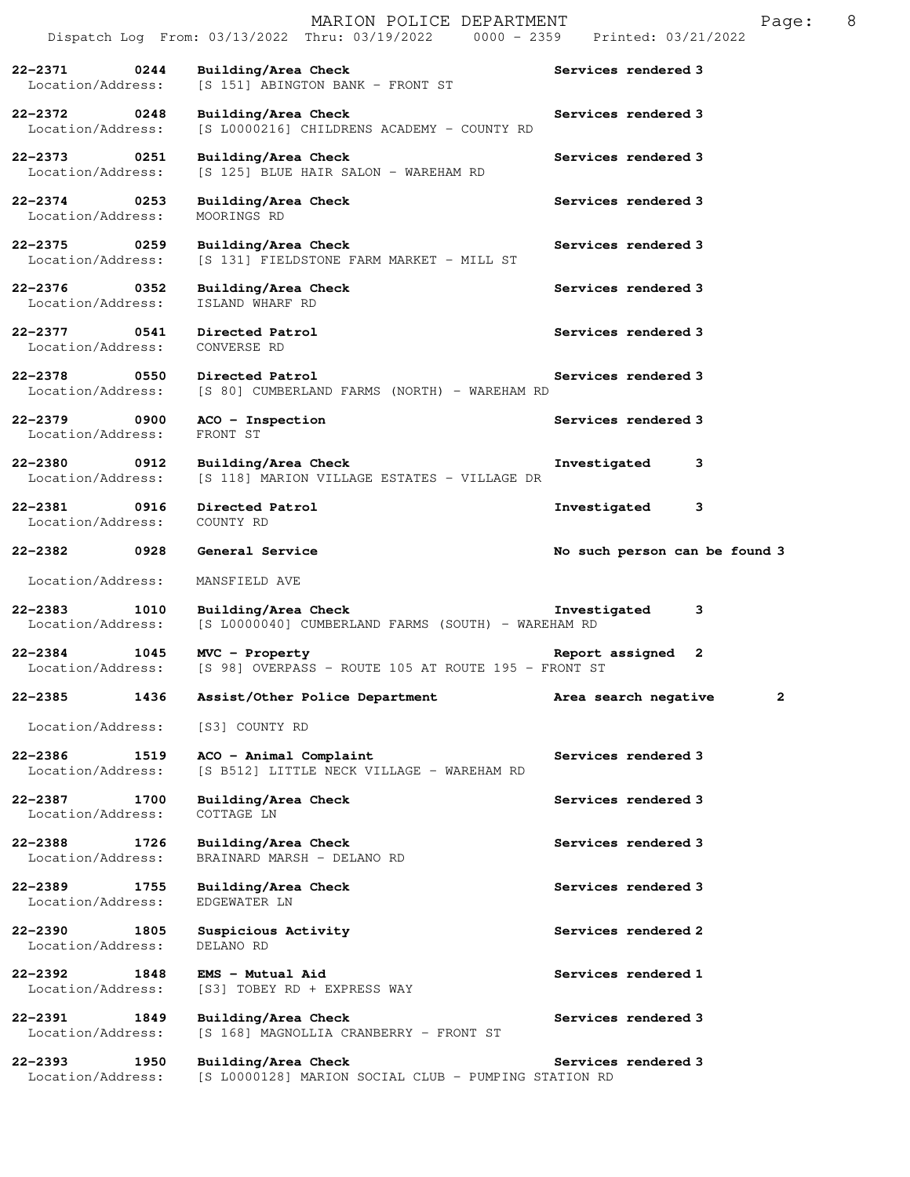|                                                              |      | MARION POLICE DEPARTMENT<br>Dispatch Log From: 03/13/2022 Thru: 03/19/2022 0000 - 2359 | 8<br>Page:<br>Printed: 03/21/2022    |
|--------------------------------------------------------------|------|----------------------------------------------------------------------------------------|--------------------------------------|
| $22 - 2371$<br>Location/Address:                             | 0244 | Building/Area Check<br>[S 151] ABINGTON BANK - FRONT ST                                | Services rendered 3                  |
| $22 - 2372$<br>Location/Address:                             | 0248 | Building/Area Check<br>[S L0000216] CHILDRENS ACADEMY - COUNTY RD                      | Services rendered 3                  |
| 22-2373<br>Location/Address:                                 | 0251 | Building/Area Check<br>[S 125] BLUE HAIR SALON - WAREHAM RD                            | Services rendered 3                  |
| $22 - 2374$<br>Location/Address:                             | 0253 | Building/Area Check<br>MOORINGS RD                                                     | Services rendered 3                  |
| $22 - 2375$<br>Location/Address:                             | 0259 | Building/Area Check<br>[S 131] FIELDSTONE FARM MARKET - MILL ST                        | Services rendered 3                  |
| $22 - 2376$<br>$\overline{\text{0352}}$<br>Location/Address: |      | Building/Area Check<br>ISLAND WHARF RD                                                 | Services rendered 3                  |
| $22 - 2377$<br>Location/Address:                             | 0541 | Directed Patrol<br>CONVERSE RD                                                         | Services rendered 3                  |
| $22 - 2378$<br>0550<br>Location/Address:                     |      | Directed Patrol<br>[S 80] CUMBERLAND FARMS (NORTH) - WAREHAM RD                        | Services rendered 3                  |
| $22 - 2379$<br>Location/Address:                             | 0900 | ACO - Inspection<br>FRONT ST                                                           | Services rendered 3                  |
| $22 - 2380$<br>Location/Address:                             | 0912 | Building/Area Check<br>[S 118] MARION VILLAGE ESTATES - VILLAGE DR                     | Investigated<br>3                    |
| $22 - 2381$<br>Location/Address:                             | 0916 | Directed Patrol<br>COUNTY RD                                                           | Investigated<br>3                    |
| $22 - 2382$                                                  | 0928 | General Service                                                                        | No such person can be found 3        |
| Location/Address:                                            |      | MANSFIELD AVE                                                                          |                                      |
| $22 - 2383$<br>Location/Address:                             | 1010 | Building/Area Check<br>[S L0000040] CUMBERLAND FARMS (SOUTH) - WAREHAM RD              | Investigated<br>3                    |
|                                                              |      |                                                                                        |                                      |
| $22 - 2384$<br>Location/Address:                             | 1045 | MVC - Property<br>[S 98] OVERPASS - ROUTE 105 AT ROUTE 195 - FRONT ST                  | Report assigned<br>2                 |
| 22-2385                                                      | 1436 | Assist/Other Police Department                                                         | $\mathbf{2}$<br>Area search negative |
| Location/Address:                                            |      | [S3] COUNTY RD                                                                         |                                      |
| $22 - 2386$<br>Location/Address:                             | 1519 | ACO - Animal Complaint<br>[S B512] LITTLE NECK VILLAGE - WAREHAM RD                    | Services rendered 3                  |
| $22 - 2387$<br>Location/Address:                             | 1700 | Building/Area Check<br>COTTAGE LN                                                      | Services rendered 3                  |
| $22 - 2388$<br>Location/Address:                             | 1726 | Building/Area Check<br>BRAINARD MARSH - DELANO RD                                      | Services rendered 3                  |
| $22 - 2389$<br>Location/Address:                             | 1755 | Building/Area Check<br>EDGEWATER LN                                                    | Services rendered 3                  |
| 22-2390<br>Location/Address:                                 | 1805 | Suspicious Activity<br>DELANO RD                                                       | Services rendered 2                  |
| $22 - 2392$<br>Location/Address:                             | 1848 | EMS - Mutual Aid<br>[S3] TOBEY RD + EXPRESS WAY                                        | Services rendered 1                  |
| 22-2391<br>Location/Address:                                 | 1849 | Building/Area Check<br>[S 168] MAGNOLLIA CRANBERRY - FRONT ST                          | Services rendered 3                  |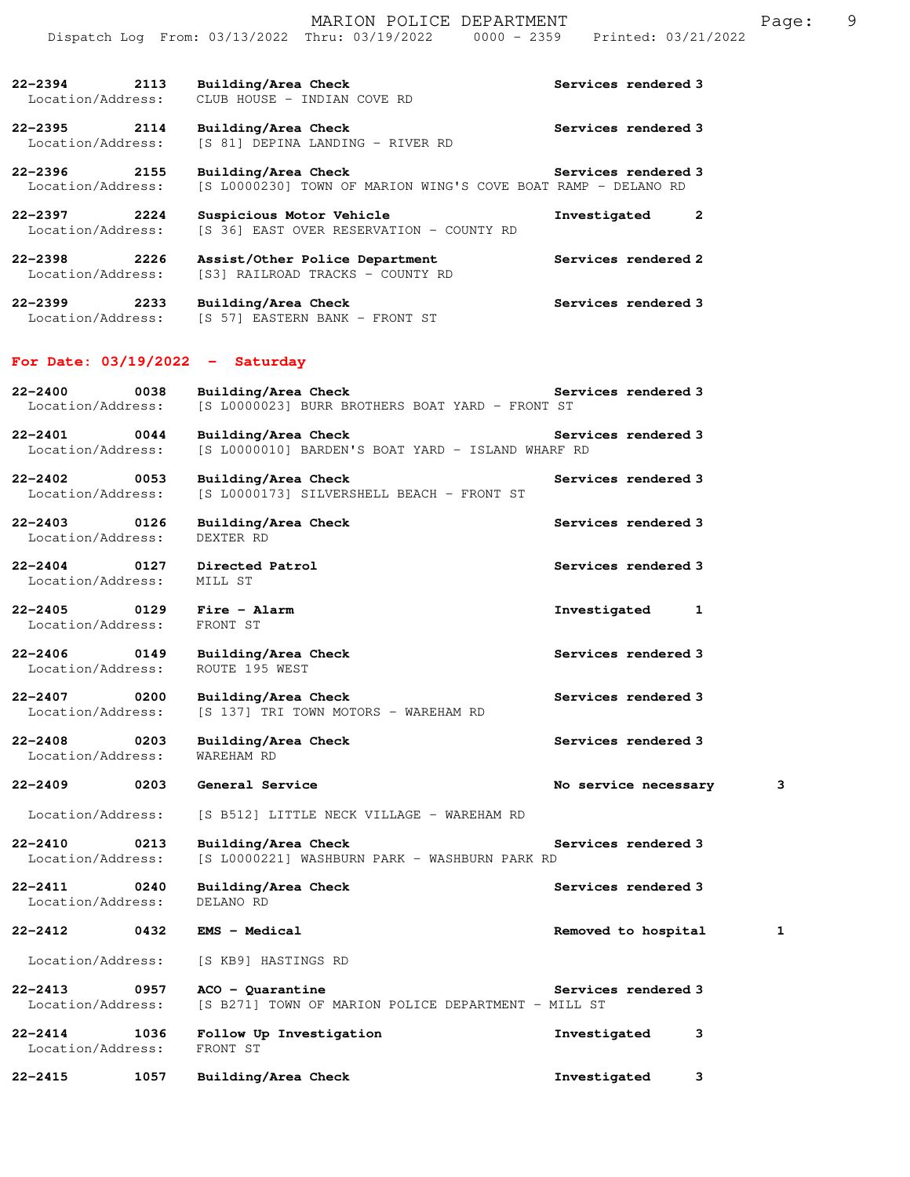|                                          |                                       | MARION POLICE DEPARTMENT                                           |                                                                                |                      | Page: | 9 |
|------------------------------------------|---------------------------------------|--------------------------------------------------------------------|--------------------------------------------------------------------------------|----------------------|-------|---|
|                                          |                                       |                                                                    | Dispatch Log From: 03/13/2022 Thru: 03/19/2022 0000 - 2359 Printed: 03/21/2022 |                      |       |   |
| 2113<br>22-2394<br>Location/Address:     |                                       | Building/Area Check<br>CLUB HOUSE - INDIAN COVE RD                 |                                                                                | Services rendered 3  |       |   |
| 22–2395<br>2114                          | Building/Area Check                   |                                                                    |                                                                                | Services rendered 3  |       |   |
| Location/Address:                        |                                       | [S 81] DEPINA LANDING - RIVER RD                                   |                                                                                |                      |       |   |
| 22-2396<br>2155<br>Location/Address:     | Building/Area Check                   |                                                                    | [S L0000230] TOWN OF MARION WING'S COVE BOAT RAMP - DELANO RD                  | Services rendered 3  |       |   |
| $22 - 2397$ 2224<br>Location/Address:    | Suspicious Motor Vehicle              | [S 36] EAST OVER RESERVATION - COUNTY RD                           | Investigated                                                                   | 2                    |       |   |
| 22-2398<br>2226<br>Location/Address:     |                                       | Assist/Other Police Department<br>[S3] RAILROAD TRACKS - COUNTY RD |                                                                                | Services rendered 2  |       |   |
| 22-2399 2233<br>Location/Address:        | Building/Area Check                   | [S 57] EASTERN BANK - FRONT ST                                     |                                                                                | Services rendered 3  |       |   |
| For Date: $03/19/2022 - Saturday$        |                                       |                                                                    |                                                                                |                      |       |   |
| $22 - 2400$<br>0038<br>Location/Address: | Building/Area Check                   | [S L0000023] BURR BROTHERS BOAT YARD - FRONT ST                    |                                                                                | Services rendered 3  |       |   |
| $22 - 2401$<br>0044<br>Location/Address: | Building/Area Check                   | [S L0000010] BARDEN'S BOAT YARD - ISLAND WHARF RD                  |                                                                                | Services rendered 3  |       |   |
| $22 - 2402$<br>0053<br>Location/Address: | Building/Area Check                   | [S L0000173] SILVERSHELL BEACH - FRONT ST                          |                                                                                | Services rendered 3  |       |   |
| $22 - 2403$<br>0126<br>Location/Address: | Building/Area Check<br>DEXTER RD      |                                                                    |                                                                                | Services rendered 3  |       |   |
| $22 - 2404$<br>0127<br>Location/Address: | Directed Patrol<br>MILL ST            |                                                                    |                                                                                | Services rendered 3  |       |   |
| $22 - 2405$<br>0129<br>Location/Address: | Fire - Alarm<br>FRONT ST              |                                                                    | Investigated                                                                   | 1                    |       |   |
| $22 - 2406$<br>0149<br>Location/Address: | Building/Area Check<br>ROUTE 195 WEST |                                                                    |                                                                                | Services rendered 3  |       |   |
| 0200<br>22-2407<br>Location/Address:     | Building/Area Check                   | [S 137] TRI TOWN MOTORS - WAREHAM RD                               |                                                                                | Services rendered 3  |       |   |
| $22 - 2408$<br>0203<br>Location/Address: | Building/Area Check<br>WAREHAM RD     |                                                                    |                                                                                | Services rendered 3  |       |   |
| $22 - 2409$<br>0203                      | General Service                       |                                                                    |                                                                                | No service necessary | 3     |   |
| Location/Address:                        |                                       | [S B512] LITTLE NECK VILLAGE - WAREHAM RD                          |                                                                                |                      |       |   |
| 0213<br>$22 - 2410$<br>Location/Address: | Building/Area Check                   | [S L0000221] WASHBURN PARK - WASHBURN PARK RD                      |                                                                                | Services rendered 3  |       |   |
| $22 - 2411$<br>0240<br>Location/Address: | Building/Area Check<br>DELANO RD      |                                                                    |                                                                                | Services rendered 3  |       |   |
| $22 - 2412$<br>0432                      | EMS - Medical                         |                                                                    |                                                                                | Removed to hospital  | 1     |   |
| Location/Address:                        | [S KB9] HASTINGS RD                   |                                                                    |                                                                                |                      |       |   |
| $22 - 2413$<br>0957<br>Location/Address: | $ACO - Quarantine$                    | [S B271] TOWN OF MARION POLICE DEPARTMENT - MILL ST                |                                                                                | Services rendered 3  |       |   |
| $22 - 2414$<br>1036<br>Location/Address: | Follow Up Investigation<br>FRONT ST   |                                                                    | Investigated                                                                   | 3                    |       |   |
| $22 - 2415$<br>1057                      | Building/Area Check                   |                                                                    | Investigated                                                                   | 3                    |       |   |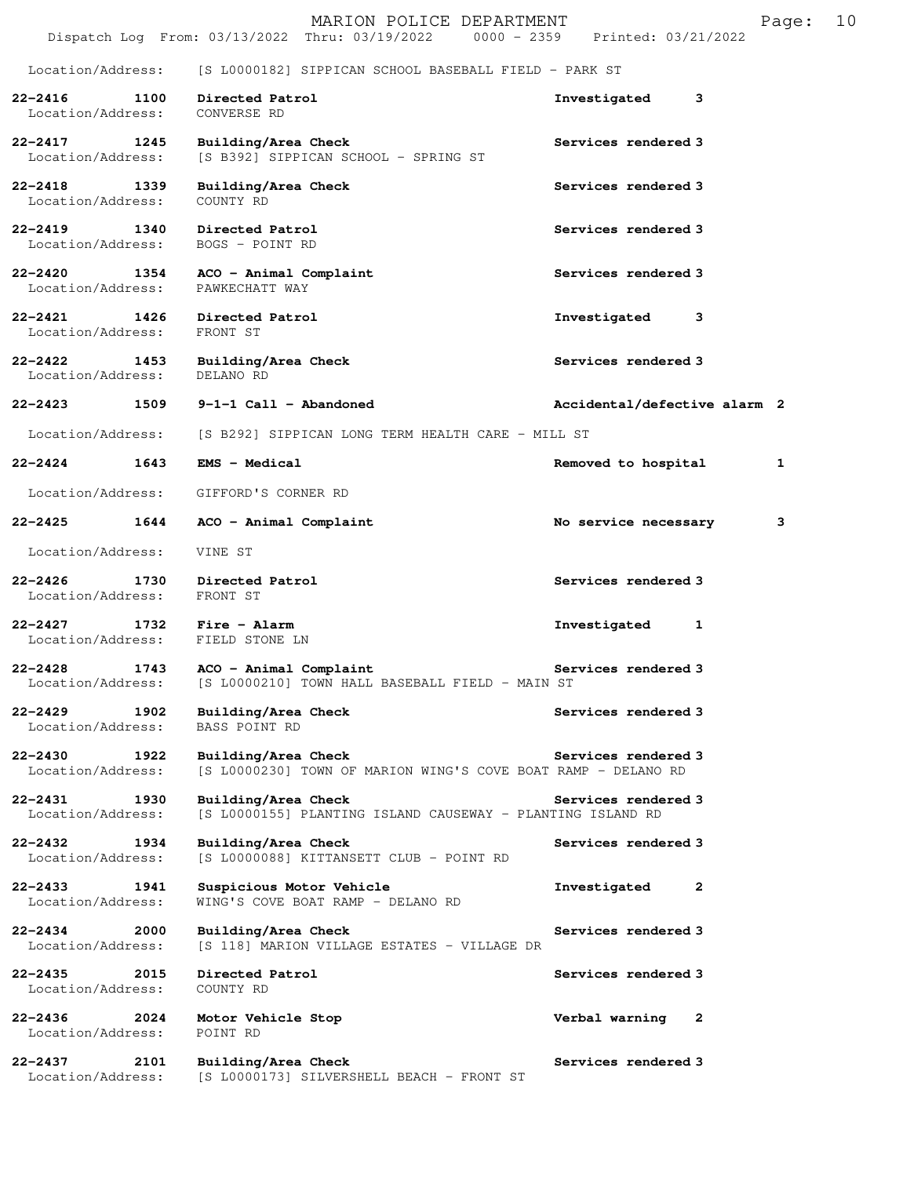|                                          | MARION POLICE DEPARTMENT<br>Dispatch Log From: 03/13/2022 Thru: 03/19/2022<br>$0000 - 2359$ | Printed: 03/21/2022          | Page: | 10 |
|------------------------------------------|---------------------------------------------------------------------------------------------|------------------------------|-------|----|
| Location/Address:                        | [S L0000182] SIPPICAN SCHOOL BASEBALL FIELD - PARK ST                                       |                              |       |    |
| $22 - 2416$<br>1100<br>Location/Address: | Directed Patrol<br>CONVERSE RD                                                              | 3<br>Investigated            |       |    |
| $22 - 2417$<br>1245<br>Location/Address: | Building/Area Check<br>[S B392] SIPPICAN SCHOOL - SPRING ST                                 | Services rendered 3          |       |    |
| $22 - 2418$<br>1339<br>Location/Address: | Building/Area Check<br>COUNTY RD                                                            | Services rendered 3          |       |    |
| $22 - 2419$<br>1340<br>Location/Address: | Directed Patrol<br>BOGS - POINT RD                                                          | Services rendered 3          |       |    |
| $22 - 2420$<br>1354<br>Location/Address: | ACO - Animal Complaint<br>PAWKECHATT WAY                                                    | Services rendered 3          |       |    |
| 1426<br>$22 - 2421$<br>Location/Address: | Directed Patrol<br>FRONT ST                                                                 | Investigated<br>3            |       |    |
| $22 - 2422$<br>1453<br>Location/Address: | Building/Area Check<br>DELANO RD                                                            | Services rendered 3          |       |    |
| 22-2423<br>1509                          | $9-1-1$ Call - Abandoned                                                                    | Accidental/defective alarm 2 |       |    |
| Location/Address:                        | [S B292] SIPPICAN LONG TERM HEALTH CARE - MILL ST                                           |                              |       |    |
| $22 - 2424$<br>1643                      | <b>EMS - Medical</b>                                                                        | Removed to hospital          | 1     |    |
| Location/Address:                        | GIFFORD'S CORNER RD                                                                         |                              |       |    |
| $22 - 2425$<br>1644                      | ACO - Animal Complaint                                                                      | No service necessary         | 3     |    |
| Location/Address:                        | VINE ST                                                                                     |                              |       |    |
| $22 - 2426$<br>1730<br>Location/Address: | Directed Patrol<br>FRONT ST                                                                 | Services rendered 3          |       |    |
| $22 - 2427$<br>1732<br>Location/Address: | Fire - Alarm<br>FIELD STONE LN                                                              | Investigated<br>1            |       |    |
| $22 - 2428$<br>1743<br>Location/Address: | ACO - Animal Complaint<br>[S L0000210] TOWN HALL BASEBALL FIELD - MAIN ST                   | Services rendered 3          |       |    |
| 22-2429<br>1902<br>Location/Address:     | Building/Area Check<br>BASS POINT RD                                                        | Services rendered 3          |       |    |
| $22 - 2430$<br>1922<br>Location/Address: | Building/Area Check<br>[S L0000230] TOWN OF MARION WING'S COVE BOAT RAMP - DELANO RD        | Services rendered 3          |       |    |
| 22-2431<br>1930<br>Location/Address:     | Building/Area Check<br>[S L0000155] PLANTING ISLAND CAUSEWAY - PLANTING ISLAND RD           | Services rendered 3          |       |    |
| $22 - 2432$<br>1934<br>Location/Address: | Building/Area Check<br>[S L0000088] KITTANSETT CLUB - POINT RD                              | Services rendered 3          |       |    |
| $22 - 2433$<br>1941<br>Location/Address: | Suspicious Motor Vehicle<br>WING'S COVE BOAT RAMP - DELANO RD                               | Investigated<br>2            |       |    |
| 22-2434<br>2000<br>Location/Address:     | Building/Area Check<br>[S 118] MARION VILLAGE ESTATES - VILLAGE DR                          | Services rendered 3          |       |    |
| $22 - 2435$<br>2015<br>Location/Address: | Directed Patrol<br>COUNTY RD                                                                | Services rendered 3          |       |    |
| $22 - 2436$<br>2024<br>Location/Address: | Motor Vehicle Stop<br>POINT RD                                                              | Verbal warning<br>2          |       |    |
| $22 - 2437$<br>2101<br>Location/Address: | Building/Area Check<br>[S L0000173] SILVERSHELL BEACH - FRONT ST                            | Services rendered 3          |       |    |